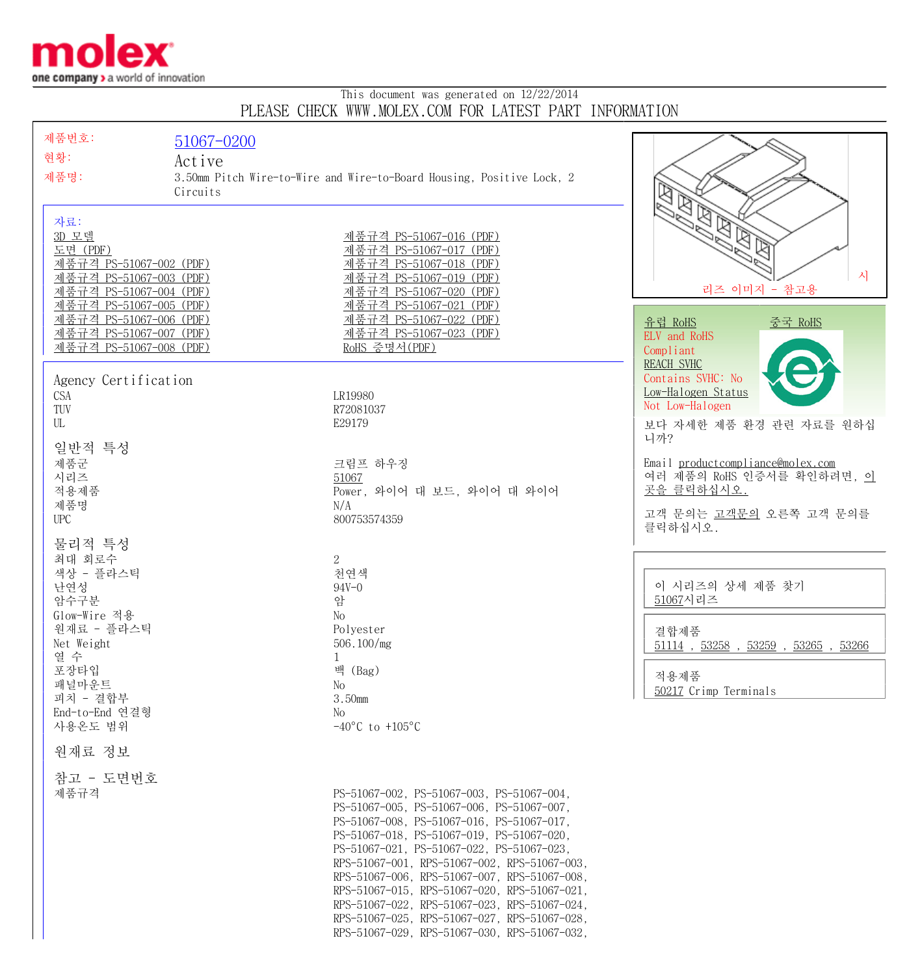

## This document was generated on 12/22/2014 PLEASE CHECK WWW.MOLEX.COM FOR LATEST PART INFORMATION

| 제품번호:<br>현황:<br>제품명:                                                                                            | 51067-0200<br>Active<br>3.50mm Pitch Wire-to-Wire and Wire-to-Board Housing, Positive Lock, 2 |                                                                                                                                                                                                                                                                                                                                                                                                                                                                                                                               |                                                                                                                   |
|-----------------------------------------------------------------------------------------------------------------|-----------------------------------------------------------------------------------------------|-------------------------------------------------------------------------------------------------------------------------------------------------------------------------------------------------------------------------------------------------------------------------------------------------------------------------------------------------------------------------------------------------------------------------------------------------------------------------------------------------------------------------------|-------------------------------------------------------------------------------------------------------------------|
| 자료:<br>3D 모델<br>도면 (PDF)<br>제품규격 PS-51067-002 (PDF)<br>제품규격 PS-51067-003 (PDF)<br>제품규격 PS-51067-004 (PDF)       | Circuits                                                                                      | 제품규격 PS-51067-016 (PDF)<br>제품규격 PS-51067-017 (PDF)<br>제품규격 PS-51067-018 (PDF)<br>제품규격 PS-51067-019 (PDF)<br>제품규격 PS-51067-020 (PDF)                                                                                                                                                                                                                                                                                                                                                                                           | $\mathbb{Z}$<br>시<br>리즈 이미지 - 참고용                                                                                 |
| 제품규격 PS-51067-005 (PDF)<br><u>제품규격 PS-51067-006 (PDF)</u><br>제품규격 PS-51067-007 (PDF)<br>제품규격 PS-51067-008 (PDF) |                                                                                               | 제품규격 PS-51067-021 (PDF)<br><u>제품규격 PS-51067-022 (PDF)</u><br><u>제품규격 PS-51067-023 (PDF)</u><br>RoHS 증명서(PDF)                                                                                                                                                                                                                                                                                                                                                                                                                  | 유럽 RoHS<br><u>중국 RoHS</u><br>ELV and RoHS<br>Compliant<br><b>REACH SVHC</b>                                       |
| Agency Certification<br>CSA<br>TUV<br>UL                                                                        |                                                                                               | LR19980<br>R72081037<br>E29179                                                                                                                                                                                                                                                                                                                                                                                                                                                                                                | Contains SVHC: No<br>Low-Halogen Status<br>Not Low-Halogen<br>보다 자세한 제품 환경 관련 자료를 원하십<br>니까?                      |
| 일반적 특성<br>제품군<br>시리즈<br>적용제품<br>제품명<br><b>UPC</b>                                                               |                                                                                               | 크림프 하우징<br>51067<br>Power, 와이어 대 보드, 와이어 대 와이어<br>N/A<br>800753574359                                                                                                                                                                                                                                                                                                                                                                                                                                                         | Email productcompliance@molex.com<br>여러 제품의 RoHS 인증서를 확인하려면, 이<br>곳을 클릭하십시오.<br>고객 문의는 고객문의 오른쪽 고객 문의를<br>클릭하십시오. |
| 물리적 특성<br>최대 회로수<br>색상 - 플라스틱<br>난연성<br>암수구분<br>Glow-Wire 적용<br>원재료 - 플라스틱<br>Net Weight                        |                                                                                               | $\overline{2}$<br>천연색<br>$94V - 0$<br>암<br>No<br>Polyester<br>506.100/mg                                                                                                                                                                                                                                                                                                                                                                                                                                                      | 이 시리즈의 상세 제품 찾기<br>51067시리즈<br>결합제품<br>$51114$ , $53258$ , $53259$ , $53265$ , $53266$                            |
| 열 수<br>포장타입<br>패널마운트<br>피치 - 결합부<br>End-to-End 연결형<br>사용온도 범위                                                   |                                                                                               | 1<br>백 (Bag)<br>No<br>3.50mm<br>No<br>$-40^{\circ}$ C to $+105^{\circ}$ C                                                                                                                                                                                                                                                                                                                                                                                                                                                     | 적용제품<br>50217 Crimp Terminals                                                                                     |
| 원재료 정보                                                                                                          |                                                                                               |                                                                                                                                                                                                                                                                                                                                                                                                                                                                                                                               |                                                                                                                   |
| 참고 - 도면번호<br>제품규격                                                                                               |                                                                                               | PS-51067-002, PS-51067-003, PS-51067-004,<br>PS-51067-005, PS-51067-006, PS-51067-007,<br>PS-51067-008, PS-51067-016, PS-51067-017,<br>PS-51067-018, PS-51067-019, PS-51067-020,<br>PS-51067-021, PS-51067-022, PS-51067-023,<br>RPS-51067-001, RPS-51067-002, RPS-51067-003,<br>RPS-51067-006, RPS-51067-007, RPS-51067-008,<br>RPS-51067-015, RPS-51067-020, RPS-51067-021,<br>RPS-51067-022, RPS-51067-023, RPS-51067-024,<br>RPS-51067-025, RPS-51067-027, RPS-51067-028,<br>RPS-51067-029, RPS-51067-030, RPS-51067-032, |                                                                                                                   |